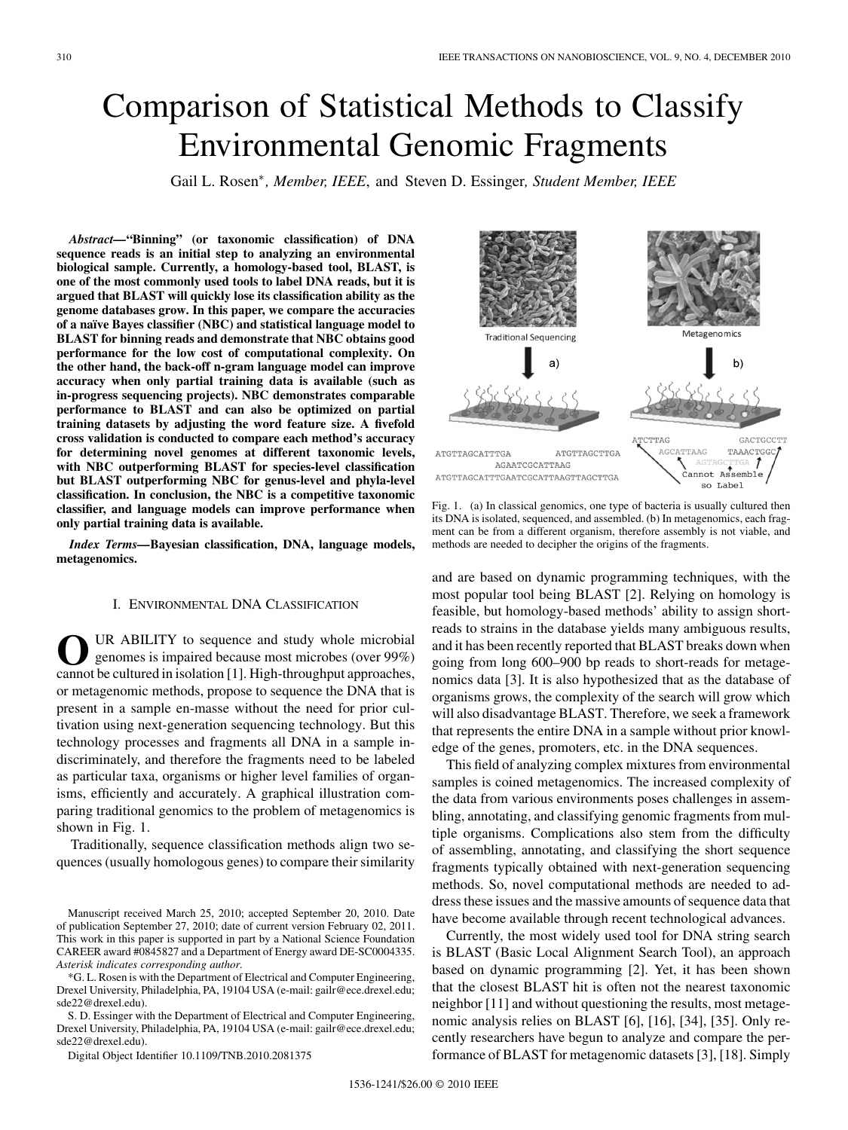# Comparison of Statistical Methods to Classify Environmental Genomic Fragments

Gail L. Rosen<sup>\*</sup>, Member, IEEE, and Steven D. Essinger, Student Member, IEEE

*Abstract—***"Binning" (or taxonomic classification) of DNA sequence reads is an initial step to analyzing an environmental biological sample. Currently, a homology-based tool, BLAST, is one of the most commonly used tools to label DNA reads, but it is argued that BLAST will quickly lose its classification ability as the genome databases grow. In this paper, we compare the accuracies of a naïve Bayes classifier (NBC) and statistical language model to BLAST for binning reads and demonstrate that NBC obtains good performance for the low cost of computational complexity. On the other hand, the back-off n-gram language model can improve accuracy when only partial training data is available (such as in-progress sequencing projects). NBC demonstrates comparable performance to BLAST and can also be optimized on partial training datasets by adjusting the word feature size. A fivefold cross validation is conducted to compare each method's accuracy for determining novel genomes at different taxonomic levels, with NBC outperforming BLAST for species-level classification but BLAST outperforming NBC for genus-level and phyla-level classification. In conclusion, the NBC is a competitive taxonomic classifier, and language models can improve performance when only partial training data is available.**

*Index Terms—***Bayesian classification, DNA, language models, metagenomics.**

# I. ENVIRONMENTAL DNA CLASSIFICATION

**O**UR ABILITY to sequence and study whole microbial genomes is impaired because most microbes (over 99%) cannot be cultured in isolation [1]. High-throughput approaches, or metagenomic methods, propose to sequence the DNA that is present in a sample en-masse without the need for prior cultivation using next-generation sequencing technology. But this technology processes and fragments all DNA in a sample indiscriminately, and therefore the fragments need to be labeled as particular taxa, organisms or higher level families of organisms, efficiently and accurately. A graphical illustration comparing traditional genomics to the problem of metagenomics is shown in Fig. 1.

Traditionally, sequence classification methods align two sequences (usually homologous genes) to compare their similarity

Digital Object Identifier 10.1109/TNB.2010.2081375



Fig. 1. (a) In classical genomics, one type of bacteria is usually cultured then its DNA is isolated, sequenced, and assembled. (b) In metagenomics, each fragment can be from a different organism, therefore assembly is not viable, and methods are needed to decipher the origins of the fragments.

and are based on dynamic programming techniques, with the most popular tool being BLAST [2]. Relying on homology is feasible, but homology-based methods' ability to assign shortreads to strains in the database yields many ambiguous results, and it has been recently reported that BLAST breaks down when going from long 600–900 bp reads to short-reads for metagenomics data [3]. It is also hypothesized that as the database of organisms grows, the complexity of the search will grow which will also disadvantage BLAST. Therefore, we seek a framework that represents the entire DNA in a sample without prior knowledge of the genes, promoters, etc. in the DNA sequences.

This field of analyzing complex mixtures from environmental samples is coined metagenomics. The increased complexity of the data from various environments poses challenges in assembling, annotating, and classifying genomic fragments from multiple organisms. Complications also stem from the difficulty of assembling, annotating, and classifying the short sequence fragments typically obtained with next-generation sequencing methods. So, novel computational methods are needed to address these issues and the massive amounts of sequence data that have become available through recent technological advances.

Currently, the most widely used tool for DNA string search is BLAST (Basic Local Alignment Search Tool), an approach based on dynamic programming [2]. Yet, it has been shown that the closest BLAST hit is often not the nearest taxonomic neighbor [11] and without questioning the results, most metagenomic analysis relies on BLAST [6], [16], [34], [35]. Only recently researchers have begun to analyze and compare the performance of BLAST for metagenomic datasets [3], [18]. Simply

Manuscript received March 25, 2010; accepted September 20, 2010. Date of publication September 27, 2010; date of current version February 02, 2011. This work in this paper is supported in part by a National Science Foundation CAREER award #0845827 and a Department of Energy award DE-SC0004335. *Asterisk indicates corresponding author.*

<sup>\*</sup>G. L. Rosen is with the Department of Electrical and Computer Engineering, Drexel University, Philadelphia, PA, 19104 USA (e-mail: gailr@ece.drexel.edu; sde22@drexel.edu).

S. D. Essinger with the Department of Electrical and Computer Engineering, Drexel University, Philadelphia, PA, 19104 USA (e-mail: gailr@ece.drexel.edu; sde22@drexel.edu).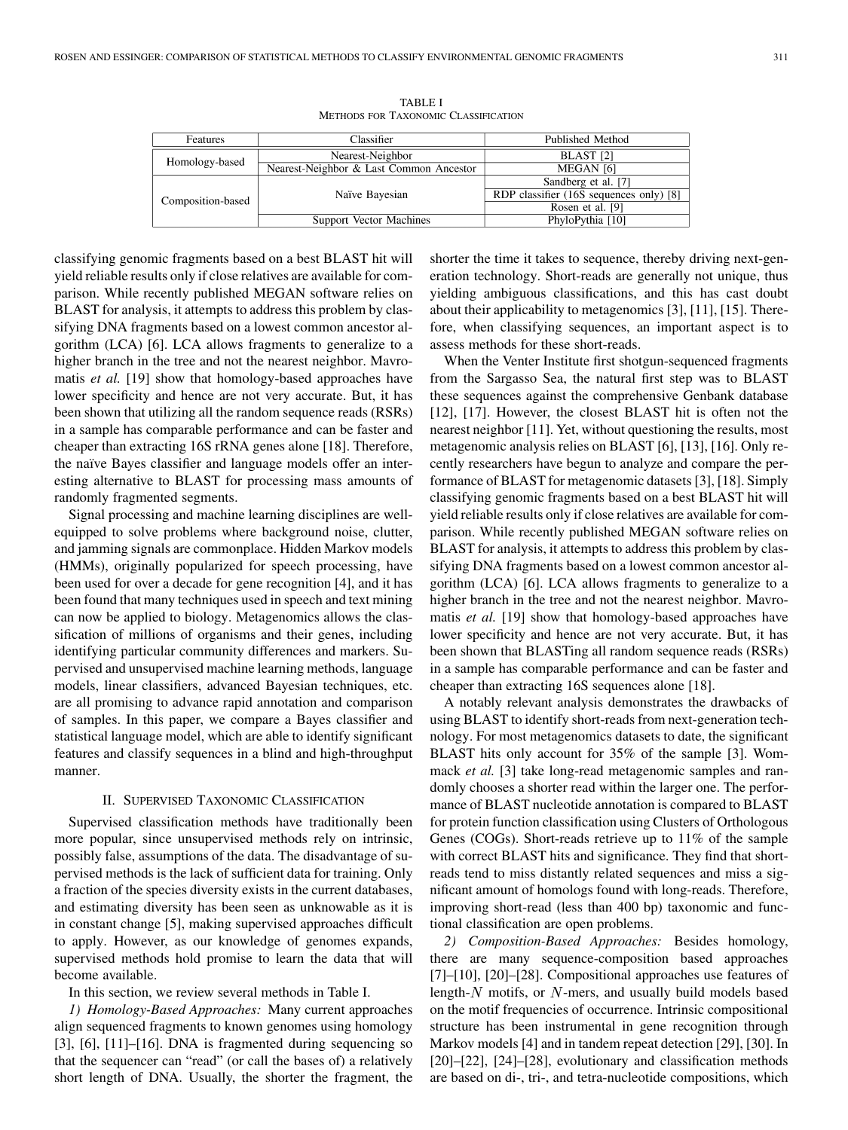| Features          | Classifier                              | Published Method                        |  |
|-------------------|-----------------------------------------|-----------------------------------------|--|
| Homology-based    | Nearest-Neighbor                        | <b>BLAST</b> [2]                        |  |
|                   | Nearest-Neighbor & Last Common Ancestor | MEGAN [6]                               |  |
| Composition-based | Naïve Bayesian                          | Sandberg et al. [7]                     |  |
|                   |                                         | RDP classifier (16S sequences only) [8] |  |
|                   |                                         | Rosen et al. [9]                        |  |
|                   | <b>Support Vector Machines</b>          | PhyloPythia [10]                        |  |

TABLE I METHODS FOR TAXONOMIC CLASSIFICATION

classifying genomic fragments based on a best BLAST hit will yield reliable results only if close relatives are available for comparison. While recently published MEGAN software relies on BLAST for analysis, it attempts to address this problem by classifying DNA fragments based on a lowest common ancestor algorithm (LCA) [6]. LCA allows fragments to generalize to a higher branch in the tree and not the nearest neighbor. Mavromatis *et al.* [19] show that homology-based approaches have lower specificity and hence are not very accurate. But, it has been shown that utilizing all the random sequence reads (RSRs) in a sample has comparable performance and can be faster and cheaper than extracting 16S rRNA genes alone [18]. Therefore, the naïve Bayes classifier and language models offer an interesting alternative to BLAST for processing mass amounts of randomly fragmented segments.

Signal processing and machine learning disciplines are wellequipped to solve problems where background noise, clutter, and jamming signals are commonplace. Hidden Markov models (HMMs), originally popularized for speech processing, have been used for over a decade for gene recognition [4], and it has been found that many techniques used in speech and text mining can now be applied to biology. Metagenomics allows the classification of millions of organisms and their genes, including identifying particular community differences and markers. Supervised and unsupervised machine learning methods, language models, linear classifiers, advanced Bayesian techniques, etc. are all promising to advance rapid annotation and comparison of samples. In this paper, we compare a Bayes classifier and statistical language model, which are able to identify significant features and classify sequences in a blind and high-throughput manner.

## II. SUPERVISED TAXONOMIC CLASSIFICATION

Supervised classification methods have traditionally been more popular, since unsupervised methods rely on intrinsic, possibly false, assumptions of the data. The disadvantage of supervised methods is the lack of sufficient data for training. Only a fraction of the species diversity exists in the current databases, and estimating diversity has been seen as unknowable as it is in constant change [5], making supervised approaches difficult to apply. However, as our knowledge of genomes expands, supervised methods hold promise to learn the data that will become available.

In this section, we review several methods in Table I.

*1) Homology-Based Approaches:* Many current approaches align sequenced fragments to known genomes using homology [3], [6], [11]–[16]. DNA is fragmented during sequencing so that the sequencer can "read" (or call the bases of) a relatively short length of DNA. Usually, the shorter the fragment, the shorter the time it takes to sequence, thereby driving next-generation technology. Short-reads are generally not unique, thus yielding ambiguous classifications, and this has cast doubt about their applicability to metagenomics [3], [11], [15]. Therefore, when classifying sequences, an important aspect is to assess methods for these short-reads.

When the Venter Institute first shotgun-sequenced fragments from the Sargasso Sea, the natural first step was to BLAST these sequences against the comprehensive Genbank database [12], [17]. However, the closest BLAST hit is often not the nearest neighbor [11]. Yet, without questioning the results, most metagenomic analysis relies on BLAST [6], [13], [16]. Only recently researchers have begun to analyze and compare the performance of BLAST for metagenomic datasets [3], [18]. Simply classifying genomic fragments based on a best BLAST hit will yield reliable results only if close relatives are available for comparison. While recently published MEGAN software relies on BLAST for analysis, it attempts to address this problem by classifying DNA fragments based on a lowest common ancestor algorithm (LCA) [6]. LCA allows fragments to generalize to a higher branch in the tree and not the nearest neighbor. Mavromatis *et al.* [19] show that homology-based approaches have lower specificity and hence are not very accurate. But, it has been shown that BLASTing all random sequence reads (RSRs) in a sample has comparable performance and can be faster and cheaper than extracting 16S sequences alone [18].

A notably relevant analysis demonstrates the drawbacks of using BLAST to identify short-reads from next-generation technology. For most metagenomics datasets to date, the significant BLAST hits only account for 35% of the sample [3]. Wommack *et al.* [3] take long-read metagenomic samples and randomly chooses a shorter read within the larger one. The performance of BLAST nucleotide annotation is compared to BLAST for protein function classification using Clusters of Orthologous Genes (COGs). Short-reads retrieve up to 11% of the sample with correct BLAST hits and significance. They find that shortreads tend to miss distantly related sequences and miss a significant amount of homologs found with long-reads. Therefore, improving short-read (less than 400 bp) taxonomic and functional classification are open problems.

*2) Composition-Based Approaches:* Besides homology, there are many sequence-composition based approaches [7]–[10], [20]–[28]. Compositional approaches use features of length- $N$  motifs, or  $N$ -mers, and usually build models based on the motif frequencies of occurrence. Intrinsic compositional structure has been instrumental in gene recognition through Markov models [4] and in tandem repeat detection [29], [30]. In [20]–[22], [24]–[28], evolutionary and classification methods are based on di-, tri-, and tetra-nucleotide compositions, which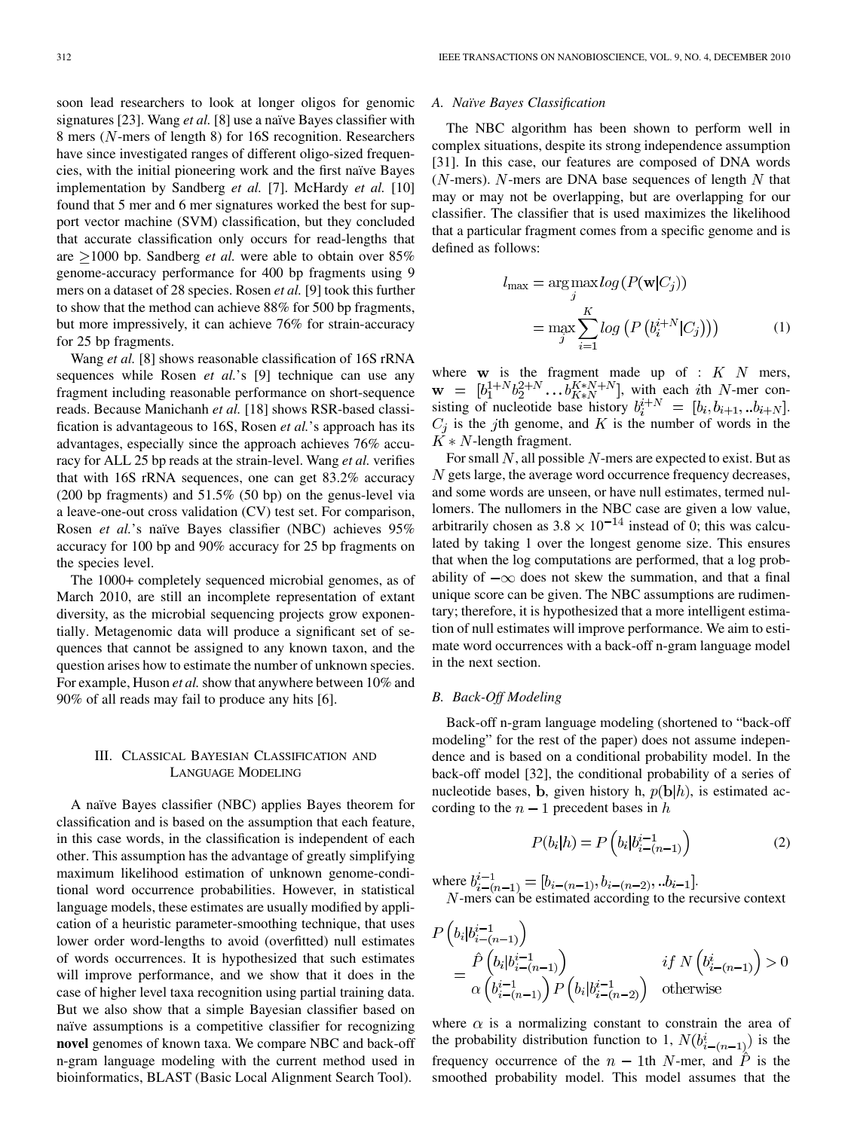soon lead researchers to look at longer oligos for genomic signatures [23]. Wang *et al.* [8] use a naïve Bayes classifier with 8 mers ( $N$ -mers of length 8) for 16S recognition. Researchers have since investigated ranges of different oligo-sized frequencies, with the initial pioneering work and the first naïve Bayes implementation by Sandberg *et al.* [7]. McHardy *et al.* [10] found that 5 mer and 6 mer signatures worked the best for support vector machine (SVM) classification, but they concluded that accurate classification only occurs for read-lengths that are >1000 bp. Sandberg *et al.* were able to obtain over 85% genome-accuracy performance for 400 bp fragments using 9 mers on a dataset of 28 species. Rosen *et al.* [9] took this further to show that the method can achieve 88% for 500 bp fragments, but more impressively, it can achieve 76% for strain-accuracy for 25 bp fragments.

Wang *et al.* [8] shows reasonable classification of 16S rRNA sequences while Rosen *et al.*'s [9] technique can use any fragment including reasonable performance on short-sequence reads. Because Manichanh *et al.* [18] shows RSR-based classification is advantageous to 16S, Rosen *et al.*'s approach has its advantages, especially since the approach achieves 76% accuracy for ALL 25 bp reads at the strain-level. Wang *et al.* verifies that with 16S rRNA sequences, one can get 83.2% accuracy (200 bp fragments) and 51.5% (50 bp) on the genus-level via a leave-one-out cross validation (CV) test set. For comparison, Rosen *et al.*'s naïve Bayes classifier (NBC) achieves 95% accuracy for 100 bp and 90% accuracy for 25 bp fragments on the species level.

The 1000+ completely sequenced microbial genomes, as of March 2010, are still an incomplete representation of extant diversity, as the microbial sequencing projects grow exponentially. Metagenomic data will produce a significant set of sequences that cannot be assigned to any known taxon, and the question arises how to estimate the number of unknown species. For example, Huson *et al.* show that anywhere between 10% and 90% of all reads may fail to produce any hits [6].

## III. CLASSICAL BAYESIAN CLASSIFICATION AND LANGUAGE MODELING

A naïve Bayes classifier (NBC) applies Bayes theorem for classification and is based on the assumption that each feature, in this case words, in the classification is independent of each other. This assumption has the advantage of greatly simplifying maximum likelihood estimation of unknown genome-conditional word occurrence probabilities. However, in statistical language models, these estimates are usually modified by application of a heuristic parameter-smoothing technique, that uses lower order word-lengths to avoid (overfitted) null estimates of words occurrences. It is hypothesized that such estimates will improve performance, and we show that it does in the case of higher level taxa recognition using partial training data. But we also show that a simple Bayesian classifier based on naïve assumptions is a competitive classifier for recognizing **novel** genomes of known taxa. We compare NBC and back-off n-gram language modeling with the current method used in bioinformatics, BLAST (Basic Local Alignment Search Tool).

# *A. Naïve Bayes Classification*

The NBC algorithm has been shown to perform well in complex situations, despite its strong independence assumption [31]. In this case, our features are composed of DNA words ( $N$ -mers).  $N$ -mers are DNA base sequences of length  $N$  that may or may not be overlapping, but are overlapping for our classifier. The classifier that is used maximizes the likelihood that a particular fragment comes from a specific genome and is defined as follows:

$$
l_{\max} = \underset{j}{\arg \max} \log (P(\mathbf{w}|C_j))
$$

$$
= \underset{j}{\max} \sum_{i=1}^{K} \log (P (b_i^{i+N}|C_j)))
$$
(1)

where  $w$  is the fragment made up of :  $K$  N mers, , with each  $i$ th  $N$ -mer consisting of nucleotide base history  $b_i^{i+N} = [b_i, b_{i+1}, \ldots, b_{i+N}].$  $C_j$  is the jth genome, and K is the number of words in the  $K*N$ -length fragment.

For small N, all possible N-mers are expected to exist. But as  $N$  gets large, the average word occurrence frequency decreases, and some words are unseen, or have null estimates, termed nullomers. The nullomers in the NBC case are given a low value, arbitrarily chosen as  $3.8 \times 10^{-14}$  instead of 0; this was calculated by taking 1 over the longest genome size. This ensures that when the log computations are performed, that a log probability of  $-\infty$  does not skew the summation, and that a final unique score can be given. The NBC assumptions are rudimentary; therefore, it is hypothesized that a more intelligent estimation of null estimates will improve performance. We aim to estimate word occurrences with a back-off n-gram language model in the next section.

## *B. Back-Off Modeling*

Back-off n-gram language modeling (shortened to "back-off modeling" for the rest of the paper) does not assume independence and is based on a conditional probability model. In the back-off model [32], the conditional probability of a series of nucleotide bases, b, given history h,  $p(\mathbf{b}|h)$ , is estimated according to the  $n-1$  precedent bases in  $h$ 

$$
P(b_i|h) = P\left(b_i|b_{i-(n-1)}^{i-1}\right) \tag{2}
$$

where  $b_{i-(n-1)}^{i-1} = [b_{i-(n-1)}, b_{i-(n-2)}, \ldots, b_{i-1}].$ -mers can be estimated according to the recursive context

$$
\label{eq:prob} \begin{aligned} &P\left(b_i|b_{i-(n-1)}^{i-1}\right)\\ &=\frac{\hat{P}\left(b_i|b_{i-(n-1)}^{i-1}\right)}{\alpha\left(b_{i-(n-1)}^{i-1}\right)P\left(b_i|b_{i-(n-2)}^{i-1}\right)}\quad if\ N\left(b_{i-(n-1)}^{i}\right)>0 \end{aligned}
$$

where  $\alpha$  is a normalizing constant to constrain the area of the probability distribution function to 1,  $N(b_{i-(n-1)}^i)$  is the frequency occurrence of the  $n-1$ th N-mer, and  $\hat{P}$  is the smoothed probability model. This model assumes that the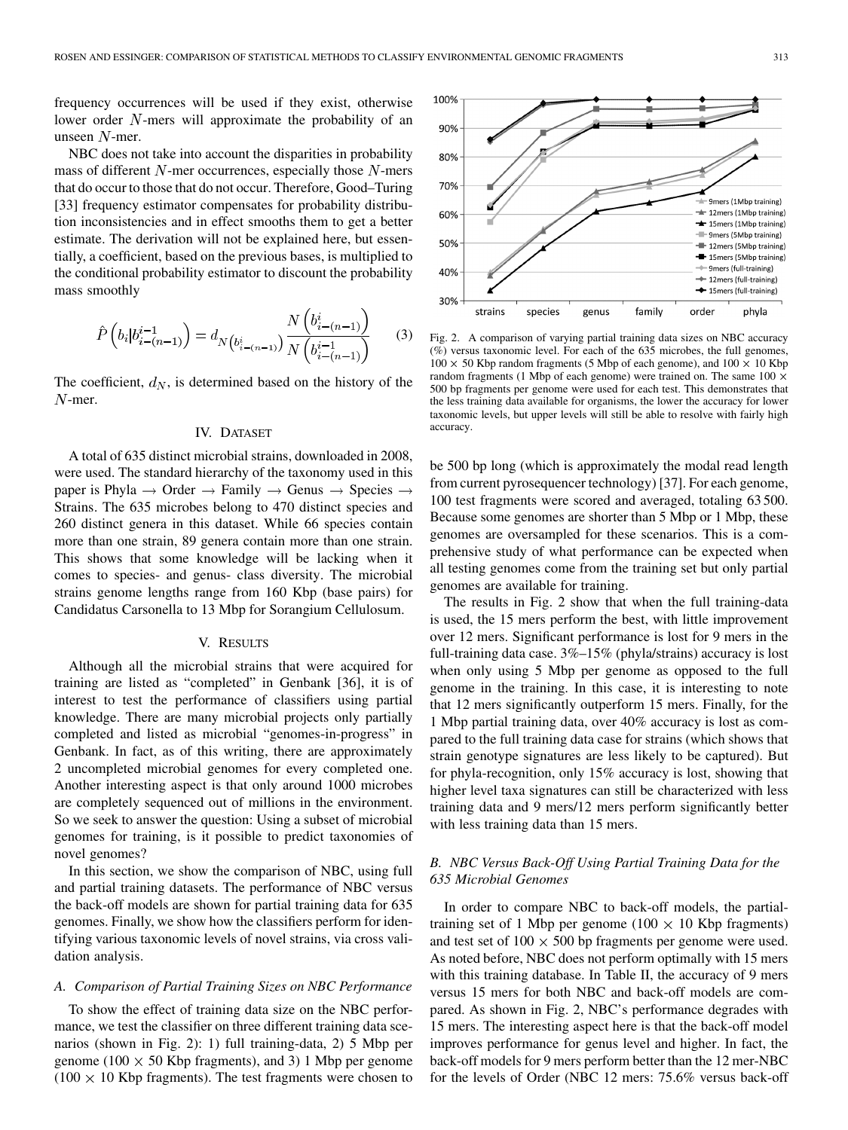frequency occurrences will be used if they exist, otherwise lower order  $N$ -mers will approximate the probability of an unseen  $N$ -mer.

NBC does not take into account the disparities in probability mass of different  $N$ -mer occurrences, especially those  $N$ -mers that do occur to those that do not occur. Therefore, Good–Turing [33] frequency estimator compensates for probability distribution inconsistencies and in effect smooths them to get a better estimate. The derivation will not be explained here, but essentially, a coefficient, based on the previous bases, is multiplied to the conditional probability estimator to discount the probability mass smoothly

$$
\hat{P}\left(b_i|b_{i-(n-1)}^{i-1}\right) = d_N\left(b_{i-(n-1)}^i\right) \frac{N\left(b_{i-(n-1)}^i\right)}{N\left(b_{i-(n-1)}^{i-1}\right)}\tag{3}
$$

The coefficient,  $d_N$ , is determined based on the history of the  $N$ -mer.

#### IV. DATASET

A total of 635 distinct microbial strains, downloaded in 2008, were used. The standard hierarchy of the taxonomy used in this paper is Phyla  $\rightarrow$  Order  $\rightarrow$  Family  $\rightarrow$  Genus  $\rightarrow$  Species  $\rightarrow$ Strains. The 635 microbes belong to 470 distinct species and 260 distinct genera in this dataset. While 66 species contain more than one strain, 89 genera contain more than one strain. This shows that some knowledge will be lacking when it comes to species- and genus- class diversity. The microbial strains genome lengths range from 160 Kbp (base pairs) for Candidatus Carsonella to 13 Mbp for Sorangium Cellulosum.

#### V. RESULTS

Although all the microbial strains that were acquired for training are listed as "completed" in Genbank [36], it is of interest to test the performance of classifiers using partial knowledge. There are many microbial projects only partially completed and listed as microbial "genomes-in-progress" in Genbank. In fact, as of this writing, there are approximately 2 uncompleted microbial genomes for every completed one. Another interesting aspect is that only around 1000 microbes are completely sequenced out of millions in the environment. So we seek to answer the question: Using a subset of microbial genomes for training, is it possible to predict taxonomies of novel genomes?

In this section, we show the comparison of NBC, using full and partial training datasets. The performance of NBC versus the back-off models are shown for partial training data for 635 genomes. Finally, we show how the classifiers perform for identifying various taxonomic levels of novel strains, via cross validation analysis.

# *A. Comparison of Partial Training Sizes on NBC Performance*

To show the effect of training data size on the NBC performance, we test the classifier on three different training data scenarios (shown in Fig. 2): 1) full training-data, 2) 5 Mbp per genome (100  $\times$  50 Kbp fragments), and 3) 1 Mbp per genome  $(100 \times 10$  Kbp fragments). The test fragments were chosen to



Fig. 2. A comparison of varying partial training data sizes on NBC accuracy  $(\%)$  versus taxonomic level. For each of the 635 microbes, the full genomes,  $100 \times 50$  Kbp random fragments (5 Mbp of each genome), and  $100 \times 10$  Kbp random fragments (1 Mbp of each genome) were trained on. The same  $100 \times$ 500 bp fragments per genome were used for each test. This demonstrates that the less training data available for organisms, the lower the accuracy for lower taxonomic levels, but upper levels will still be able to resolve with fairly high accuracy.

be 500 bp long (which is approximately the modal read length from current pyrosequencer technology) [37]. For each genome, 100 test fragments were scored and averaged, totaling 63 500. Because some genomes are shorter than 5 Mbp or 1 Mbp, these genomes are oversampled for these scenarios. This is a comprehensive study of what performance can be expected when all testing genomes come from the training set but only partial genomes are available for training.

The results in Fig. 2 show that when the full training-data is used, the 15 mers perform the best, with little improvement over 12 mers. Significant performance is lost for 9 mers in the full-training data case. 3%–15% (phyla/strains) accuracy is lost when only using 5 Mbp per genome as opposed to the full genome in the training. In this case, it is interesting to note that 12 mers significantly outperform 15 mers. Finally, for the 1 Mbp partial training data, over 40% accuracy is lost as compared to the full training data case for strains (which shows that strain genotype signatures are less likely to be captured). But for phyla-recognition, only 15% accuracy is lost, showing that higher level taxa signatures can still be characterized with less training data and 9 mers/12 mers perform significantly better with less training data than 15 mers.

# *B. NBC Versus Back-Off Using Partial Training Data for the 635 Microbial Genomes*

In order to compare NBC to back-off models, the partialtraining set of 1 Mbp per genome (100  $\times$  10 Kbp fragments) and test set of  $100 \times 500$  bp fragments per genome were used. As noted before, NBC does not perform optimally with 15 mers with this training database. In Table II, the accuracy of 9 mers versus 15 mers for both NBC and back-off models are compared. As shown in Fig. 2, NBC's performance degrades with 15 mers. The interesting aspect here is that the back-off model improves performance for genus level and higher. In fact, the back-off models for 9 mers perform better than the 12 mer-NBC for the levels of Order (NBC 12 mers: 75.6% versus back-off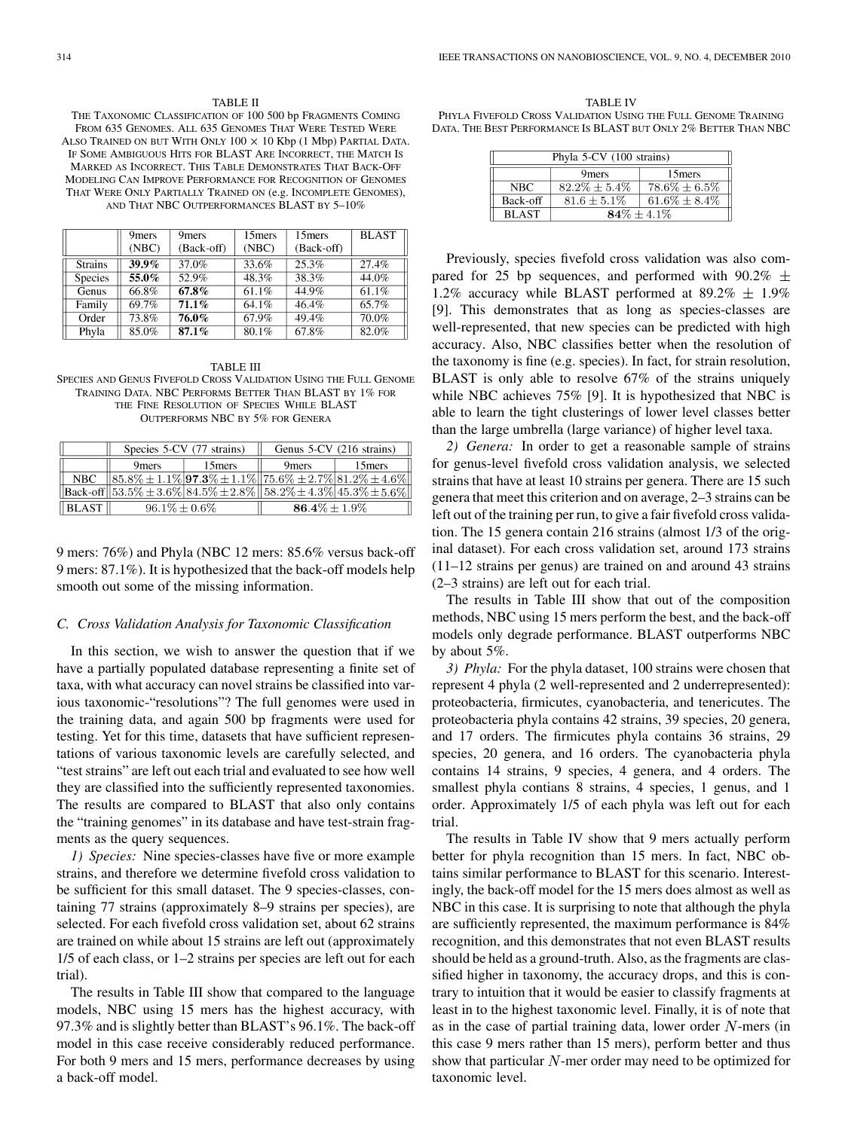THE TAXONOMIC CLASSIFICATION OF 100 500 bp FRAGMENTS COMING FROM 635 GENOMES. ALL 635 GENOMES THAT WERE TESTED WERE ALSO TRAINED ON BUT WITH ONLY  $100 \times 10$  Kbp (1 Mbp) PARTIAL DATA. IF SOME AMBIGUOUS HITS FOR BLAST ARE INCORRECT, THE MATCH IS MARKED AS INCORRECT. THIS TABLE DEMONSTRATES THAT BACK-OFF MODELING CAN IMPROVE PERFORMANCE FOR RECOGNITION OF GENOMES THAT WERE ONLY PARTIALLY TRAINED ON (e.g. INCOMPLETE GENOMES), AND THAT NBC OUTPERFORMANCES BLAST BY 5–10%

TABLE II

|                | 9 <sub>mers</sub> | 9 <sub>mers</sub> | 15 <sub>mers</sub> | 15 <sub>mers</sub> | <b>BLAST</b> |
|----------------|-------------------|-------------------|--------------------|--------------------|--------------|
|                | (NBC)             | (Back-off)        | (NBC)              | (Back-off)         |              |
| <b>Strains</b> | 39.9%             | 37.0%             | 33.6%              | 25.3%              | 27.4%        |
| <b>Species</b> | 55.0%             | 52.9%             | 48.3%              | 38.3%              | 44.0%        |
| Genus          | 66.8%             | 67.8%             | 61.1%              | 44.9%              | 61.1%        |
| Family         | 69.7%             | $71.1\%$          | 64.1%              | 46.4%              | 65.7%        |
| Order          | 73.8%             | 76.0%             | 67.9%              | 49.4%              | 70.0%        |
| Phyla          | 85.0%             | $87.1\%$          | 80.1%              | 67.8%              | 82.0%        |

TABLE III SPECIES AND GENUS FIVEFOLD CROSS VALIDATION USING THE FULL GENOME TRAINING DATA. NBC PERFORMS BETTER THAN BLAST BY 1% FOR THE FINE RESOLUTION OF SPECIES WHILE BLAST OUTPERFORMS NBC BY 5% FOR GENERA

|            | Species 5-CV (77 strains) |                                                                                                    | Genus 5-CV (216 strains) |                    |
|------------|---------------------------|----------------------------------------------------------------------------------------------------|--------------------------|--------------------|
|            | 9 <sub>mers</sub>         | 15 <sub>mers</sub>                                                                                 | 9 <sub>mers</sub>        | 15 <sub>mers</sub> |
| NBC        |                           | $\left \frac{85.8\% \pm 1.1\%}{97.3\% \pm 1.1\%}\right 75.6\% \pm 2.7\%}{81.2\% \pm 4.6\%}\right $ |                          |                    |
|            |                           | $\ \text{Back-off}\ $ 53.5% $\pm$ 3.6% 84.5% $\pm$ 2.8% $\ $ 58.2% $\pm$ 4.3% 45.3% $\pm$ 5.6%     |                          |                    |
| $  $ BLAST | $96.1\% \pm 0.6\%$        |                                                                                                    | $86.4\% \pm 1.9\%$       |                    |

9 mers: 76%) and Phyla (NBC 12 mers: 85.6% versus back-off 9 mers: 87.1%). It is hypothesized that the back-off models help smooth out some of the missing information.

#### *C. Cross Validation Analysis for Taxonomic Classification*

In this section, we wish to answer the question that if we have a partially populated database representing a finite set of taxa, with what accuracy can novel strains be classified into various taxonomic-"resolutions"? The full genomes were used in the training data, and again 500 bp fragments were used for testing. Yet for this time, datasets that have sufficient representations of various taxonomic levels are carefully selected, and "test strains" are left out each trial and evaluated to see how well they are classified into the sufficiently represented taxonomies. The results are compared to BLAST that also only contains the "training genomes" in its database and have test-strain fragments as the query sequences.

*1) Species:* Nine species-classes have five or more example strains, and therefore we determine fivefold cross validation to be sufficient for this small dataset. The 9 species-classes, containing 77 strains (approximately 8–9 strains per species), are selected. For each fivefold cross validation set, about 62 strains are trained on while about 15 strains are left out (approximately 1/5 of each class, or 1–2 strains per species are left out for each trial).

The results in Table III show that compared to the language models, NBC using 15 mers has the highest accuracy, with 97.3% and is slightly better than BLAST's 96.1%. The back-off model in this case receive considerably reduced performance. For both 9 mers and 15 mers, performance decreases by using a back-off model.

TABLE IV PHYLA FIVEFOLD CROSS VALIDATION USING THE FULL GENOME TRAINING DATA. THE BEST PERFORMANCE IS BLAST BUT ONLY 2% BETTER THAN NBC

| Phyla 5-CV (100 strains) |                    |                    |  |  |
|--------------------------|--------------------|--------------------|--|--|
|                          | 9 <sub>mers</sub>  | 15 <sub>mers</sub> |  |  |
| <b>NBC</b>               | $82.2\% \pm 5.4\%$ | $78.6\% \pm 6.5\%$ |  |  |
| Back-off                 | $81.6 \pm 5.1\%$   | $61.6\% \pm 8.4\%$ |  |  |
| <b>BLAST</b>             | $84\% \pm 4.1\%$   |                    |  |  |

Previously, species fivefold cross validation was also compared for 25 bp sequences, and performed with  $90.2\% \pm$ 1.2% accuracy while BLAST performed at  $89.2\% \pm 1.9\%$ [9]. This demonstrates that as long as species-classes are well-represented, that new species can be predicted with high accuracy. Also, NBC classifies better when the resolution of the taxonomy is fine (e.g. species). In fact, for strain resolution, BLAST is only able to resolve 67% of the strains uniquely while NBC achieves 75% [9]. It is hypothesized that NBC is able to learn the tight clusterings of lower level classes better than the large umbrella (large variance) of higher level taxa.

*2) Genera:* In order to get a reasonable sample of strains for genus-level fivefold cross validation analysis, we selected strains that have at least 10 strains per genera. There are 15 such genera that meet this criterion and on average, 2–3 strains can be left out of the training per run, to give a fair fivefold cross validation. The 15 genera contain 216 strains (almost 1/3 of the original dataset). For each cross validation set, around 173 strains (11–12 strains per genus) are trained on and around 43 strains (2–3 strains) are left out for each trial.

The results in Table III show that out of the composition methods, NBC using 15 mers perform the best, and the back-off models only degrade performance. BLAST outperforms NBC by about 5%.

*3) Phyla:* For the phyla dataset, 100 strains were chosen that represent 4 phyla (2 well-represented and 2 underrepresented): proteobacteria, firmicutes, cyanobacteria, and tenericutes. The proteobacteria phyla contains 42 strains, 39 species, 20 genera, and 17 orders. The firmicutes phyla contains 36 strains, 29 species, 20 genera, and 16 orders. The cyanobacteria phyla contains 14 strains, 9 species, 4 genera, and 4 orders. The smallest phyla contians 8 strains, 4 species, 1 genus, and 1 order. Approximately 1/5 of each phyla was left out for each trial.

The results in Table IV show that 9 mers actually perform better for phyla recognition than 15 mers. In fact, NBC obtains similar performance to BLAST for this scenario. Interestingly, the back-off model for the 15 mers does almost as well as NBC in this case. It is surprising to note that although the phyla are sufficiently represented, the maximum performance is 84% recognition, and this demonstrates that not even BLAST results should be held as a ground-truth. Also, as the fragments are classified higher in taxonomy, the accuracy drops, and this is contrary to intuition that it would be easier to classify fragments at least in to the highest taxonomic level. Finally, it is of note that as in the case of partial training data, lower order  $N$ -mers (in this case 9 mers rather than 15 mers), perform better and thus show that particular  $N$ -mer order may need to be optimized for taxonomic level.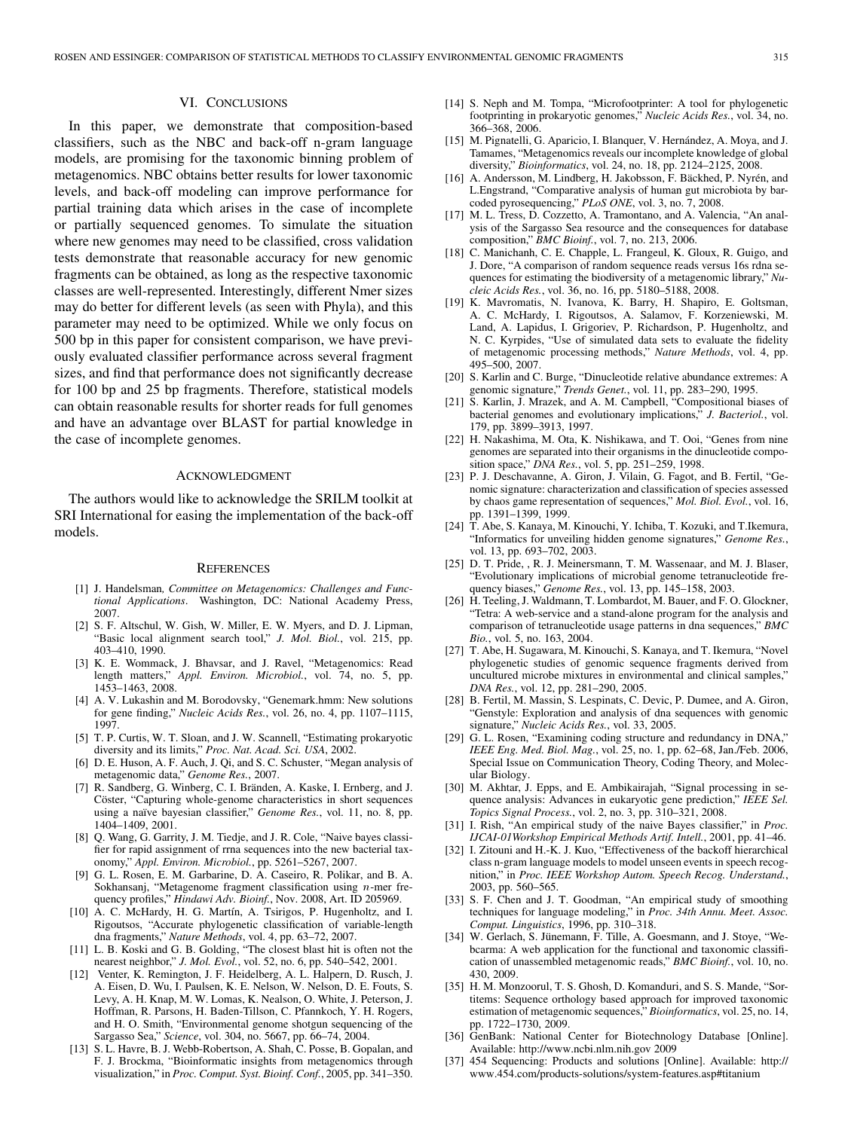## VI. CONCLUSIONS

In this paper, we demonstrate that composition-based classifiers, such as the NBC and back-off n-gram language models, are promising for the taxonomic binning problem of metagenomics. NBC obtains better results for lower taxonomic levels, and back-off modeling can improve performance for partial training data which arises in the case of incomplete or partially sequenced genomes. To simulate the situation where new genomes may need to be classified, cross validation tests demonstrate that reasonable accuracy for new genomic fragments can be obtained, as long as the respective taxonomic classes are well-represented. Interestingly, different Nmer sizes may do better for different levels (as seen with Phyla), and this parameter may need to be optimized. While we only focus on 500 bp in this paper for consistent comparison, we have previously evaluated classifier performance across several fragment sizes, and find that performance does not significantly decrease for 100 bp and 25 bp fragments. Therefore, statistical models can obtain reasonable results for shorter reads for full genomes and have an advantage over BLAST for partial knowledge in the case of incomplete genomes.

#### ACKNOWLEDGMENT

The authors would like to acknowledge the SRILM toolkit at SRI International for easing the implementation of the back-off models.

#### **REFERENCES**

- [1] J. Handelsman*, Committee on Metagenomics: Challenges and Functional Applications*. Washington, DC: National Academy Press, 2007.
- [2] S. F. Altschul, W. Gish, W. Miller, E. W. Myers, and D. J. Lipman, "Basic local alignment search tool," *J. Mol. Biol.*, vol. 215, pp. 403–410, 1990.
- [3] K. E. Wommack, J. Bhavsar, and J. Ravel, "Metagenomics: Read length matters," *Appl. Environ. Microbiol.*, vol. 74, no. 5, pp. 1453–1463, 2008.
- [4] A. V. Lukashin and M. Borodovsky, "Genemark.hmm: New solutions for gene finding," *Nucleic Acids Res.*, vol. 26, no. 4, pp. 1107–1115, 1997.
- [5] T. P. Curtis, W. T. Sloan, and J. W. Scannell, "Estimating prokaryotic diversity and its limits," *Proc. Nat. Acad. Sci. USA*, 2002.
- [6] D. E. Huson, A. F. Auch, J. Qi, and S. C. Schuster, "Megan analysis of metagenomic data," *Genome Res.*, 2007.
- [7] R. Sandberg, G. Winberg, C. I. Bränden, A. Kaske, I. Ernberg, and J. Cöster, "Capturing whole-genome characteristics in short sequences using a naïve bayesian classifier," *Genome Res.*, vol. 11, no. 8, pp. 1404–1409, 2001.
- [8] Q. Wang, G. Garrity, J. M. Tiedje, and J. R. Cole, "Naive bayes classifier for rapid assignment of rrna sequences into the new bacterial taxonomy," *Appl. Environ. Microbiol.*, pp. 5261–5267, 2007.
- [9] G. L. Rosen, E. M. Garbarine, D. A. Caseiro, R. Polikar, and B. A. Sokhansanj, "Metagenome fragment classification using *n*-mer frequency profiles," *Hindawi Adv. Bioinf.*, Nov. 2008, Art. ID 205969.
- [10] A. C. McHardy, H. G. Martín, A. Tsirigos, P. Hugenholtz, and I. Rigoutsos, "Accurate phylogenetic classification of variable-length dna fragments," *Nature Methods*, vol. 4, pp. 63–72, 2007.
- [11] L. B. Koski and G. B. Golding, "The closest blast hit is often not the nearest neighbor," *J. Mol. Evol.*, vol. 52, no. 6, pp. 540–542, 2001.
- [12] Venter, K. Remington, J. F. Heidelberg, A. L. Halpern, D. Rusch, J. A. Eisen, D. Wu, I. Paulsen, K. E. Nelson, W. Nelson, D. E. Fouts, S. Levy, A. H. Knap, M. W. Lomas, K. Nealson, O. White, J. Peterson, J. Hoffman, R. Parsons, H. Baden-Tillson, C. Pfannkoch, Y. H. Rogers, and H. O. Smith, "Environmental genome shotgun sequencing of the Sargasso Sea," *Science*, vol. 304, no. 5667, pp. 66–74, 2004.
- [13] S. L. Havre, B. J. Webb-Robertson, A. Shah, C. Posse, B. Gopalan, and F. J. Brockma, "Bioinformatic insights from metagenomics through visualization," in *Proc. Comput. Syst. Bioinf. Conf.*, 2005, pp. 341–350.
- [14] S. Neph and M. Tompa, "Microfootprinter: A tool for phylogenetic footprinting in prokaryotic genomes," *Nucleic Acids Res.*, vol. 34, no. 366–368, 2006.
- [15] M. Pignatelli, G. Aparicio, I. Blanquer, V. Hernández, A. Moya, and J. Tamames, "Metagenomics reveals our incomplete knowledge of global diversity," *Bioinformatics*, vol. 24, no. 18, pp. 2124–2125, 2008.
- [16] A. Andersson, M. Lindberg, H. Jakobsson, F. Bäckhed, P. Nyrén, and L.Engstrand, "Comparative analysis of human gut microbiota by barcoded pyrosequencing," *PLoS ONE*, vol. 3, no. 7, 2008.
- [17] M. L. Tress, D. Cozzetto, A. Tramontano, and A. Valencia, "An analysis of the Sargasso Sea resource and the consequences for database composition," *BMC Bioinf.*, vol. 7, no. 213, 2006.
- [18] C. Manichanh, C. E. Chapple, L. Frangeul, K. Gloux, R. Guigo, and J. Dore, "A comparison of random sequence reads versus 16s rdna sequences for estimating the biodiversity of a metagenomic library," *Nucleic Acids Res.*, vol. 36, no. 16, pp. 5180–5188, 2008.
- [19] K. Mavromatis, N. Ivanova, K. Barry, H. Shapiro, E. Goltsman, A. C. McHardy, I. Rigoutsos, A. Salamov, F. Korzeniewski, M. Land, A. Lapidus, I. Grigoriev, P. Richardson, P. Hugenholtz, and N. C. Kyrpides, "Use of simulated data sets to evaluate the fidelity of metagenomic processing methods," *Nature Methods*, vol. 4, pp. 495–500, 2007.
- [20] S. Karlin and C. Burge, "Dinucleotide relative abundance extremes: A genomic signature," *Trends Genet.*, vol. 11, pp. 283–290, 1995.
- [21] S. Karlin, J. Mrazek, and A. M. Campbell, "Compositional biases of bacterial genomes and evolutionary implications," *J. Bacteriol.*, vol. 179, pp. 3899–3913, 1997.
- [22] H. Nakashima, M. Ota, K. Nishikawa, and T. Ooi, "Genes from nine genomes are separated into their organisms in the dinucleotide composition space," *DNA Res.*, vol. 5, pp. 251–259, 1998.
- [23] P. J. Deschavanne, A. Giron, J. Vilain, G. Fagot, and B. Fertil, "Genomic signature: characterization and classification of species assessed by chaos game representation of sequences," *Mol. Biol. Evol.*, vol. 16, pp. 1391–1399, 1999.
- [24] T. Abe, S. Kanaya, M. Kinouchi, Y. Ichiba, T. Kozuki, and T.Ikemura, "Informatics for unveiling hidden genome signatures," *Genome Res.*, vol. 13, pp. 693–702, 2003.
- [25] D. T. Pride, , R. J. Meinersmann, T. M. Wassenaar, and M. J. Blaser, "Evolutionary implications of microbial genome tetranucleotide frequency biases," *Genome Res.*, vol. 13, pp. 145–158, 2003.
- [26] H. Teeling, J. Waldmann, T. Lombardot, M. Bauer, and F. O. Glockner, "Tetra: A web-service and a stand-alone program for the analysis and comparison of tetranucleotide usage patterns in dna sequences," *BMC Bio.*, vol. 5, no. 163, 2004.
- [27] T. Abe, H. Sugawara, M. Kinouchi, S. Kanaya, and T. Ikemura, "Novel phylogenetic studies of genomic sequence fragments derived from uncultured microbe mixtures in environmental and clinical samples," *DNA Res.*, vol. 12, pp. 281–290, 2005.
- [28] B. Fertil, M. Massin, S. Lespinats, C. Devic, P. Dumee, and A. Giron, "Genstyle: Exploration and analysis of dna sequences with genomic signature," *Nucleic Acids Res.*, vol. 33, 2005.
- [29] G. L. Rosen, "Examining coding structure and redundancy in DNA," *IEEE Eng. Med. Biol. Mag.*, vol. 25, no. 1, pp. 62–68, Jan./Feb. 2006, Special Issue on Communication Theory, Coding Theory, and Molecular Biology.
- [30] M. Akhtar, J. Epps, and E. Ambikairajah, "Signal processing in sequence analysis: Advances in eukaryotic gene prediction," *IEEE Sel. Topics Signal Process.*, vol. 2, no. 3, pp. 310–321, 2008.
- [31] I. Rish, "An empirical study of the naive Bayes classifier," in *Proc. IJCAI-01Workshop Empirical Methods Artif. Intell.*, 2001, pp. 41–46.
- [32] I. Zitouni and H.-K. J. Kuo, "Effectiveness of the backoff hierarchical class n-gram language models to model unseen events in speech recognition," in *Proc. IEEE Workshop Autom. Speech Recog. Understand.*, 2003, pp. 560–565.
- [33] S. F. Chen and J. T. Goodman, "An empirical study of smoothing techniques for language modeling," in *Proc. 34th Annu. Meet. Assoc. Comput. Linguistics*, 1996, pp. 310–318.
- [34] W. Gerlach, S. Jünemann, F. Tille, A. Goesmann, and J. Stoye, "Webcarma: A web application for the functional and taxonomic classification of unassembled metagenomic reads," *BMC Bioinf.*, vol. 10, no. 430, 2009.
- [35] H. M. Monzoorul, T. S. Ghosh, D. Komanduri, and S. S. Mande, "Sortitems: Sequence orthology based approach for improved taxonomic estimation of metagenomic sequences," *Bioinformatics*, vol. 25, no. 14, pp. 1722–1730, 2009.
- [36] GenBank: National Center for Biotechnology Database [Online]. Available: http://www.ncbi.nlm.nih.gov 2009
- [37] 454 Sequencing: Products and solutions [Online]. Available: http:// www.454.com/products-solutions/system-features.asp#titanium